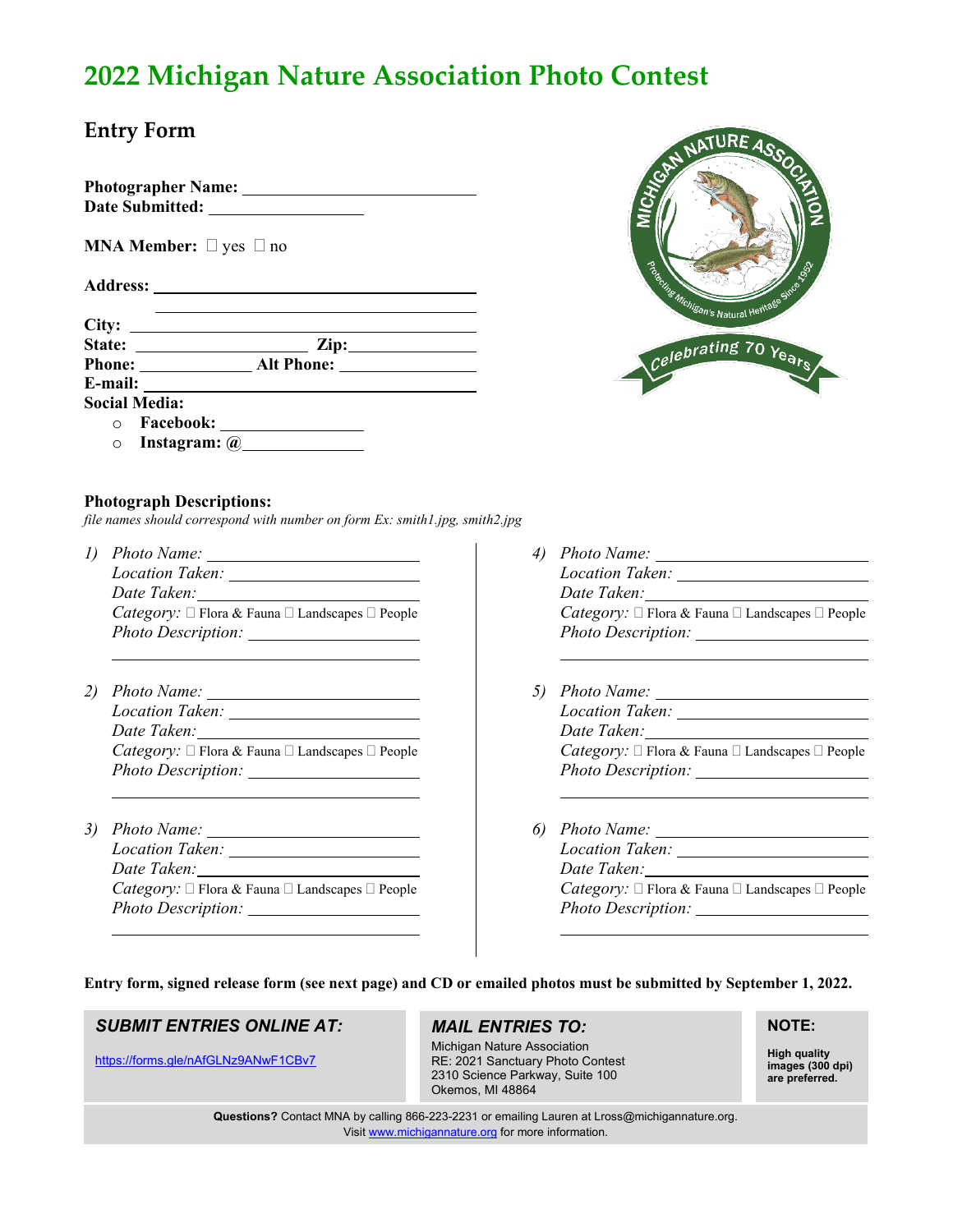# **2022 Michigan Nature Association Photo Contest**

## **Entry Form**

**Photographer Name: Date Submitted:** 

**MNA Member:**  $\Box$  yes  $\Box$  no

**Address:**

**City:**  State: <u>\_\_\_\_\_\_\_\_\_\_\_\_\_\_\_\_\_\_\_\_\_\_\_\_\_\_\_\_\_\_\_\_\_\_</u> Zip: **Phone: Alt Phone: E-mail: Social Media:**

o **Facebook:**  o **Instagram: @**



#### **Photograph Descriptions:**

*file names should correspond with number on form Ex: smith1.jpg, smith2.jpg*

- *1) Photo Name: Location Taken: Date Taken: Category:* □ Flora & Fauna □ Landscapes □ People *Photo Description:*
- *2) Photo Name: Location Taken: Date Taken: Category:*  $\Box$  Flora & Fauna  $\Box$  Landscapes  $\Box$  People *Photo Description:*
- *3) Photo Name: Location Taken: Date Taken: Category:*  $\Box$  Flora & Fauna  $\Box$  Landscapes  $\Box$  People *Photo Description:*
- *4) Photo Name: Location Taken: Date Taken: Category:* □ Flora & Fauna □ Landscapes □ People *Photo Description:*
- *5) Photo Name: Location Taken: Date Taken: Category:*  $\Box$  Flora & Fauna  $\Box$  Landscapes  $\Box$  People *Photo Description:*
- *6) Photo Name: Location Taken: Date Taken: Category:*  $\Box$  Flora & Fauna  $\Box$  Landscapes  $\Box$  People *Photo Description:*

**Entry form, signed release form (see next page) and CD or emailed photos must be submitted by September 1, 2022.**

### *SUBMIT ENTRIES ONLINE AT:*

<https://forms.gle/nAfGLNz9ANwF1CBv7>

## *MAIL ENTRIES TO:*

Michigan Nature Association RE: 2021 Sanctuary Photo Contest 2310 Science Parkway, Suite 100 Okemos, MI 48864

### **NOTE:**

**High quality images (300 dpi) are preferred.** 

**Questions?** Contact MNA by calling 866-223-2231 or emailing Lauren at Lross@michigannature.org. Visit [www.michigannature.org](http://www.michigannature.org/) for more information.